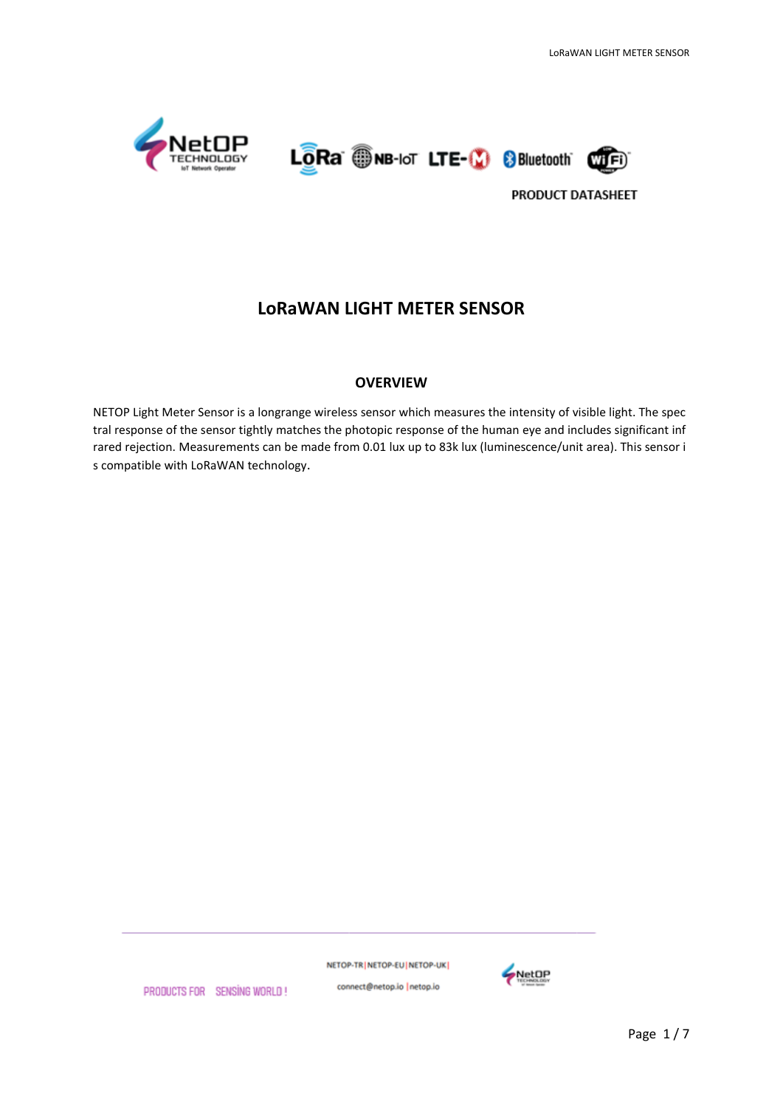





## **LoRaWAN LIGHT METER SENSOR**

#### **OVERVIEW**

NETOP Light Meter Sensor is a longrange wireless sensor which measures the intensity of visible light. The spec tral response of the sensor tightly matches the photopic response of the human eye and includes significant inf rared rejection. Measurements can be made from 0.01 lux up to 83k lux (luminescence/unit area). This sensor i s compatible with LoRaWAN technology.

NETOP-TR NETOP-EU NETOP-UK



PRODUCTS FOR SENSING WORLD!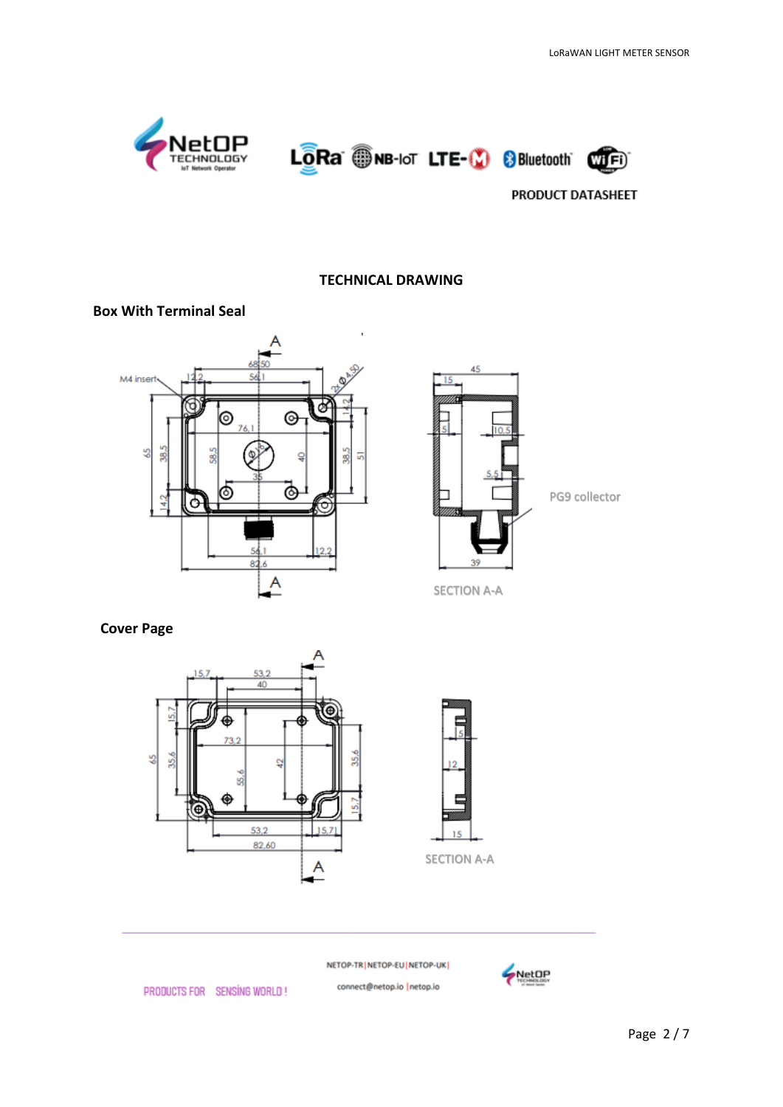

#### **TECHNICAL DRAWING**

#### **Box With Terminal Seal**





#### **Cover Page**



NETOP-TR | NETOP-EU | NETOP-UK |

connect@netop.io |netop.io



PRODUCTS FOR SENSING WORLD!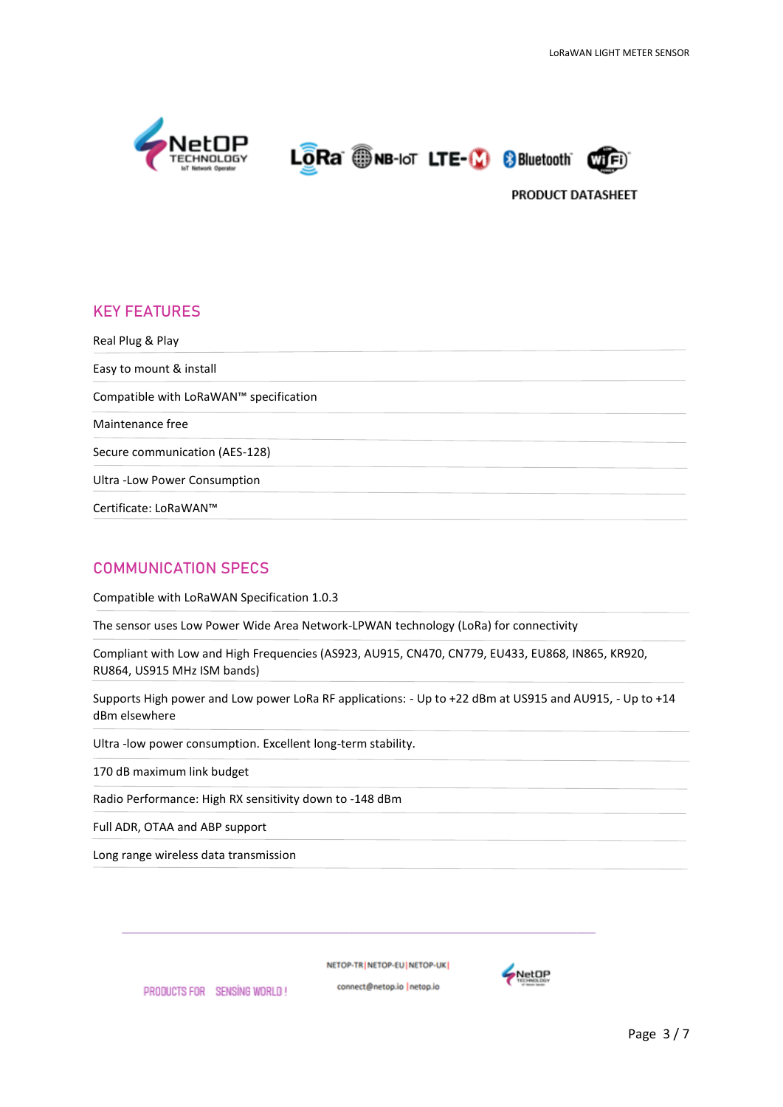





# **KEY FEATURES**  Real Plug & Play Easy to mount & install Compatible with LoRaWAN™ specification Maintenance free Secure communication (AES-128) Ultra -Low Power Consumption Certificate: LoRaWAN™

## **COMMUNICATION SPECS**

Compatible with LoRaWAN Specification 1.0.3

The sensor uses Low Power Wide Area Network-LPWAN technology (LoRa) for connectivity

Compliant with Low and High Frequencies (AS923, AU915, CN470, CN779, EU433, EU868, IN865, KR920, RU864, US915 MHz ISM bands)

Supports High power and Low power LoRa RF applications: - Up to +22 dBm at US915 and AU915, - Up to +14 dBm elsewhere

Ultra -low power consumption. Excellent long-term stability.

170 dB maximum link budget

Radio Performance: High RX sensitivity down to -148 dBm

Full ADR, OTAA and ABP support

Long range wireless data transmission

PRODUCTS FOR SENSING WORLD!

NETOP-TRINETOP-EUINETOP-UKI

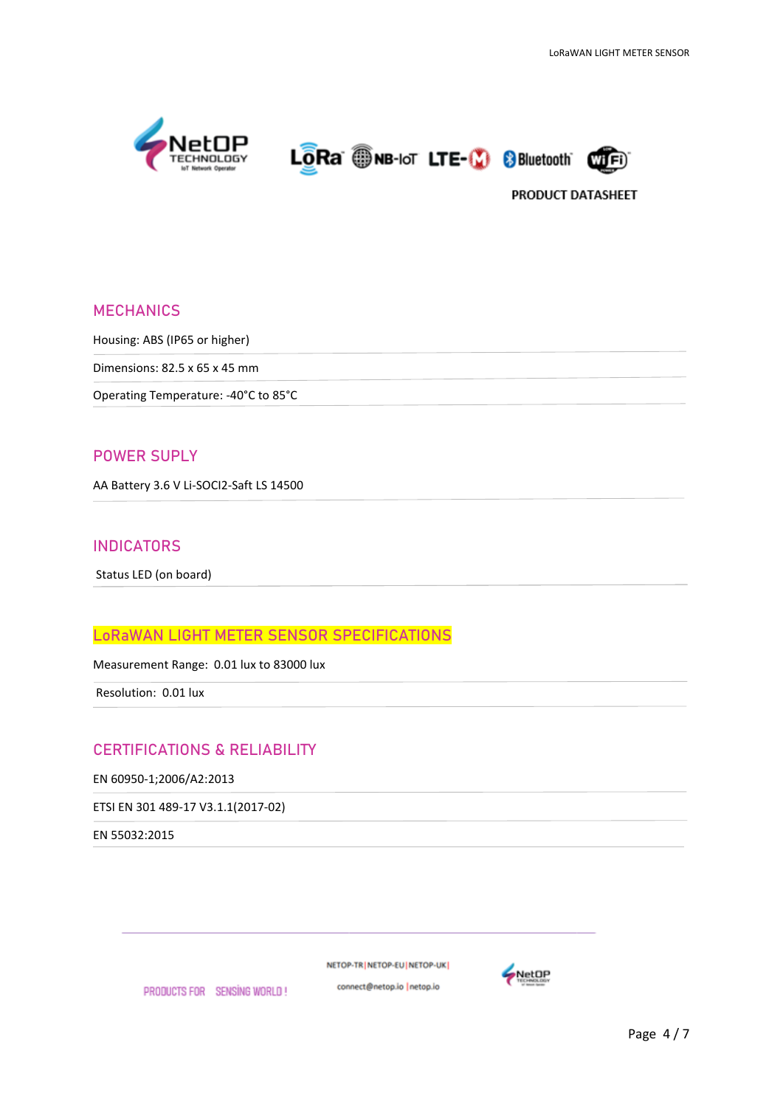





#### **MECHANICS**

Housing: ABS (IP65 or higher)

Dimensions: 82.5 x 65 x 45 mm

Operating Temperature: -40°C to 85°C

#### **POWER SUPLY**

AA Battery 3.6 V Li-SOCI2-Saft LS 14500

#### **INDICATORS**

Status LED (on board)

## **LoRaWAN LIGHT METER SENSOR SPECIFICATIONS**

Measurement Range: 0.01 lux to 83000 lux

Resolution: 0.01 lux

#### **CERTIFICATIONS & RELIABILITY**

EN 60950-1;2006/A2:2013

ETSI EN 301 489-17 V3.1.1(2017-02)

EN 55032:2015

NETOP-TR NETOP-EU NETOP-UK

connect@netop.io |netop.io PRODUCTS FOR SENSING WORLD!

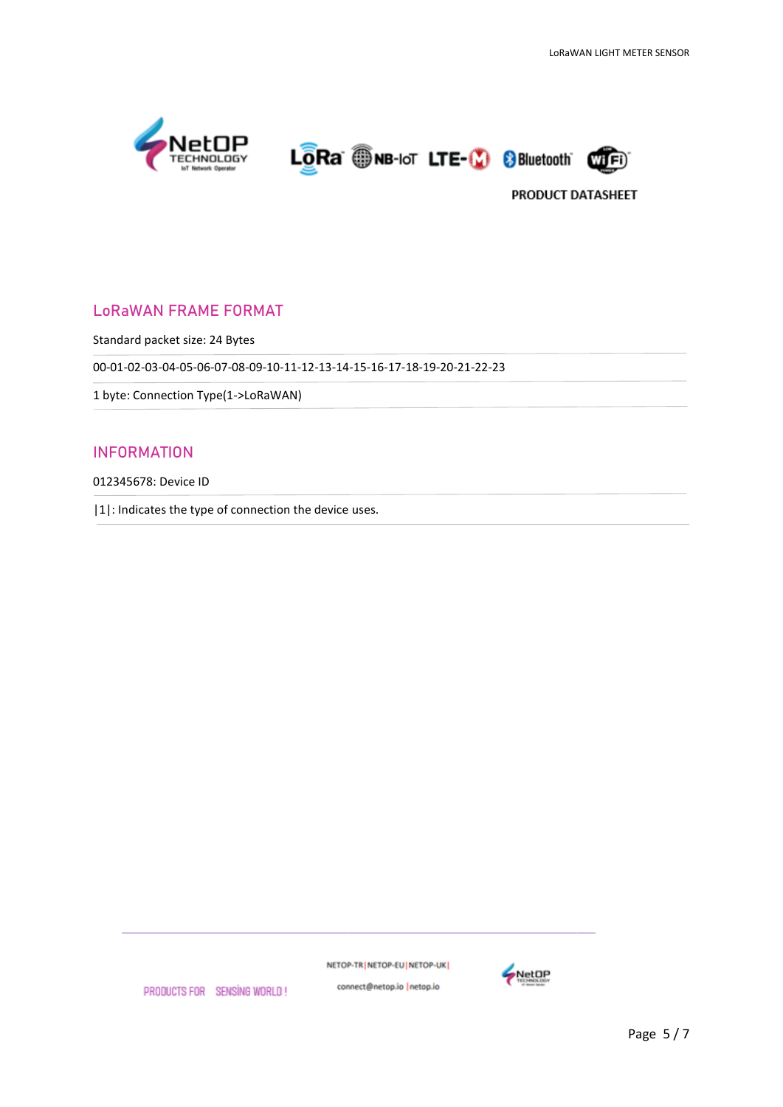





## LoRaWAN FRAME FORMAT

Standard packet size: 24 Bytes

00-01-02-03-04-05-06-07-08-09-10-11-12-13-14-15-16-17-18-19-20-21-22-23

1 byte: Connection Type(1->LoRaWAN)

#### INFORMATION

012345678: Device ID

|1|: Indicates the type of connection the device uses.

NETOP-TR | NETOP-EU | NETOP-UK |



PRODUCTS FOR SENSING WORLD!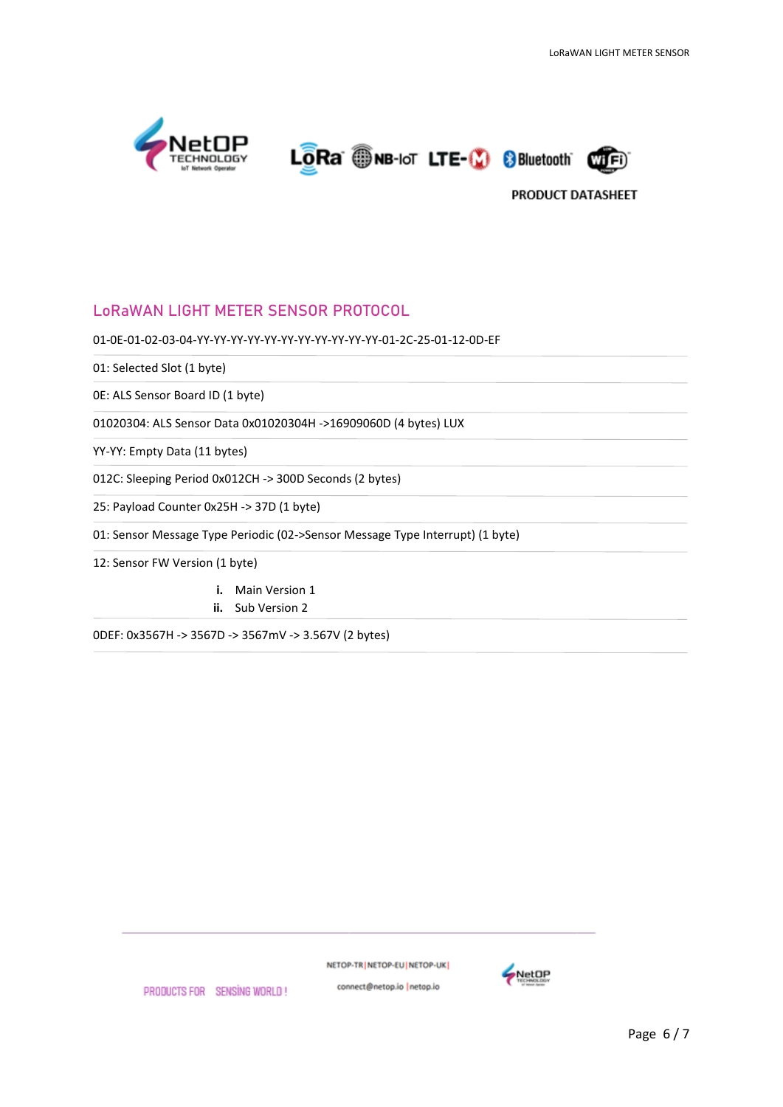





## LoRaWAN LIGHT METER SENSOR PROTOCOL

01-0E-01-02-03-04-YY-YY-YY-YY-YY-YY-YY-YY-YY-YY-YY-01-2C-25-01-12-0D-EF

01: Selected Slot (1 byte)

0E: ALS Sensor Board ID (1 byte)

01020304: ALS Sensor Data 0x01020304H ->16909060D (4 bytes) LUX

YY-YY: Empty Data (11 bytes)

012C: Sleeping Period 0x012CH -> 300D Seconds (2 bytes)

25: Payload Counter 0x25H -> 37D (1 byte)

01: Sensor Message Type Periodic (02->Sensor Message Type Interrupt) (1 byte)

12: Sensor FW Version (1 byte)

**i.** Main Version 1 **ii.** Sub Version 2

0DEF: 0x3567H -> 3567D -> 3567mV -> 3.567V (2 bytes)

NETOP-TR NETOP-EU NETOP-UK



PRODUCTS FOR SENSING WORLD!